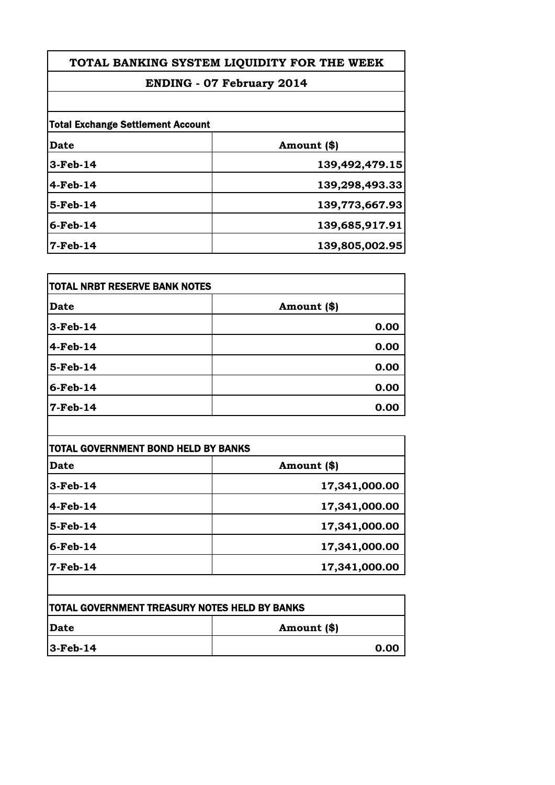# **ENDING - 07 February 2014**

| <b>Total Exchange Settlement Account</b> |                |
|------------------------------------------|----------------|
| Date                                     | Amount (\$)    |
| $3-Feb-14$                               | 139,492,479.15 |
| $4-Feb-14$                               | 139,298,493.33 |
| $5-Feb-14$                               | 139,773,667.93 |
| $6$ -Feb-14                              | 139,685,917.91 |
| $7$ -Feb-14                              | 139,805,002.95 |

| TOTAL NRBT RESERVE BANK NOTES |             |
|-------------------------------|-------------|
| <b>Date</b>                   | Amount (\$) |
| $3-Feb-14$                    | 0.00        |
| $4-Feb-14$                    | 0.00        |
| 5-Feb-14                      | 0.00        |
| $6$ -Feb-14                   | 0.00        |
| $7$ -Feb-14                   | 0.00        |

 $\overline{\phantom{a}}$ 

| Date        | Amount (\$)   |
|-------------|---------------|
| $3-Feb-14$  | 17,341,000.00 |
| $4-Feb-14$  | 17,341,000.00 |
| 5-Feb-14    | 17,341,000.00 |
| $6$ -Feb-14 | 17,341,000.00 |
| $7-Feb-14$  | 17,341,000.00 |

| <b>TOTAL GOVERNMENT TREASURY NOTES HELD BY BANKS</b> |             |
|------------------------------------------------------|-------------|
| <b>IDate</b>                                         | Amount (\$) |
| $ 3 - \text{Feb} - 14 $                              | 0.00        |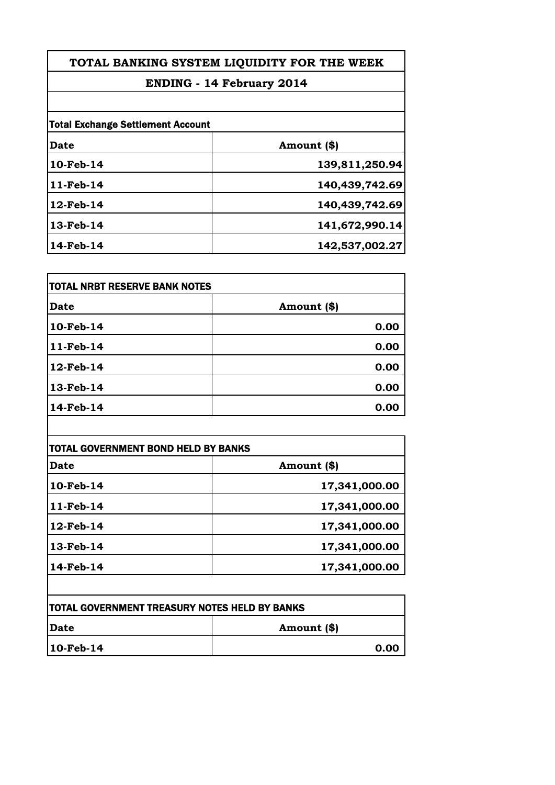# **ENDING - 14 February 2014**

| <b>Total Exchange Settlement Account</b> |                |
|------------------------------------------|----------------|
| Date                                     | Amount (\$)    |
| 10-Feb-14                                | 139,811,250.94 |
| 11-Feb-14                                | 140,439,742.69 |
| $12$ -Feb-14                             | 140,439,742.69 |
| 13-Feb-14                                | 141,672,990.14 |
| 14-Feb-14                                | 142,537,002.27 |

| <b>Date</b> | Amount (\$) |
|-------------|-------------|
| 10-Feb-14   | 0.00        |
| 11-Feb-14   | 0.00        |
| 12-Feb-14   | 0.00        |
| 13-Feb-14   | 0.00        |
| 14-Feb-14   | 0.00        |

| Date      | Amount (\$)   |
|-----------|---------------|
| 10-Feb-14 | 17,341,000.00 |
| 11-Feb-14 | 17,341,000.00 |
| 12-Feb-14 | 17,341,000.00 |
| 13-Feb-14 | 17,341,000.00 |
| 14-Feb-14 | 17,341,000.00 |

| <b> TOTAL GOVERNMENT TREASURY NOTES HELD BY BANKS</b> |             |
|-------------------------------------------------------|-------------|
| <b>IDate</b>                                          | Amount (\$) |
| $10$ -Feb-14                                          | 0.00        |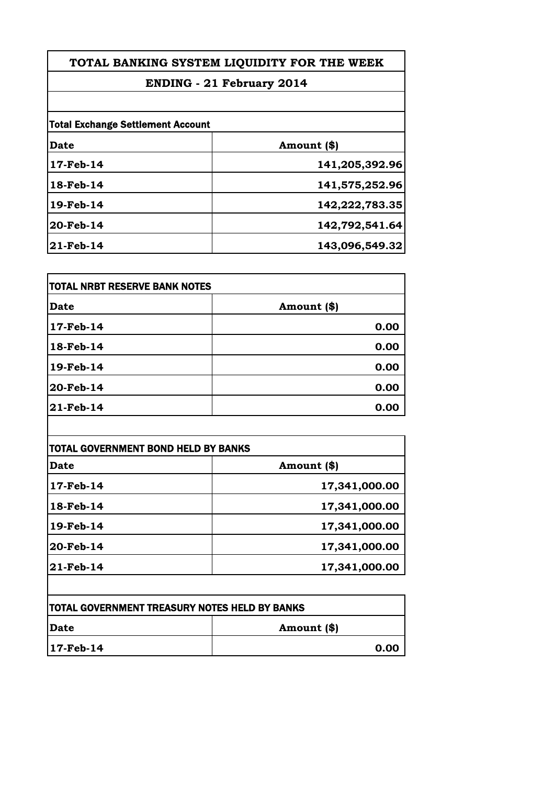# **ENDING - 21 February 2014**

| <b>Total Exchange Settlement Account</b> |                |
|------------------------------------------|----------------|
| Date                                     | Amount (\$)    |
| 17-Feb-14                                | 141,205,392.96 |
| 18-Feb-14                                | 141,575,252.96 |
| 19-Feb-14                                | 142,222,783.35 |
| 20-Feb-14                                | 142,792,541.64 |
| 21-Feb-14                                | 143,096,549.32 |

| <b>Date</b> | Amount (\$) |
|-------------|-------------|
| 17-Feb-14   | 0.00        |
| 18-Feb-14   | 0.00        |
| 19-Feb-14   | 0.00        |
| 20-Feb-14   | 0.00        |
| 21-Feb-14   | 0.00        |

| Date      | Amount (\$)   |
|-----------|---------------|
| 17-Feb-14 | 17,341,000.00 |
| 18-Feb-14 | 17,341,000.00 |
| 19-Feb-14 | 17,341,000.00 |
| 20-Feb-14 | 17,341,000.00 |
| 21-Feb-14 | 17,341,000.00 |

| <b> TOTAL GOVERNMENT TREASURY NOTES HELD BY BANKS</b> |             |
|-------------------------------------------------------|-------------|
| <b> Date</b>                                          | Amount (\$) |
| 17-Feb-14                                             | 0.00        |